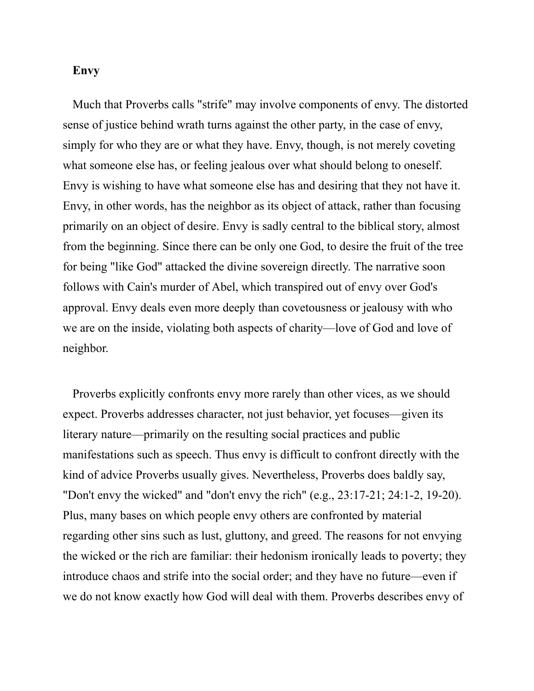## **Envy**

Much that Proverbs calls "strife" may involve components of envy. The distorted sense of justice behind wrath turns against the other party, in the case of envy, simply for who they are or what they have. Envy, though, is not merely coveting what someone else has, or feeling jealous over what should belong to oneself. Envy is wishing to have what someone else has and desiring that they not have it. Envy, in other words, has the neighbor as its object of attack, rather than focusing primarily on an object of desire. Envy is sadly central to the biblical story, almost from the beginning. Since there can be only one God, to desire the fruit of the tree for being "like God" attacked the divine sovereign directly. The narrative soon follows with Cain's murder of Abel, which transpired out of envy over God's approval. Envy deals even more deeply than covetousness or jealousy with who we are on the inside, violating both aspects of charity—love of God and love of neighbor.

Proverbs explicitly confronts envy more rarely than other vices, as we should expect. Proverbs addresses character, not just behavior, yet focuses—given its literary nature—primarily on the resulting social practices and public manifestations such as speech. Thus envy is difficult to confront directly with the kind of advice Proverbs usually gives. Nevertheless, Proverbs does baldly say, "Don't envy the wicked" and "don't envy the rich" (e.g., 23:17-21; 24:1-2, 19-20). Plus, many bases on which people envy others are confronted by material regarding other sins such as lust, gluttony, and greed. The reasons for not envying the wicked or the rich are familiar: their hedonism ironically leads to poverty; they introduce chaos and strife into the social order; and they have no future—even if we do not know exactly how God will deal with them. Proverbs describes envy of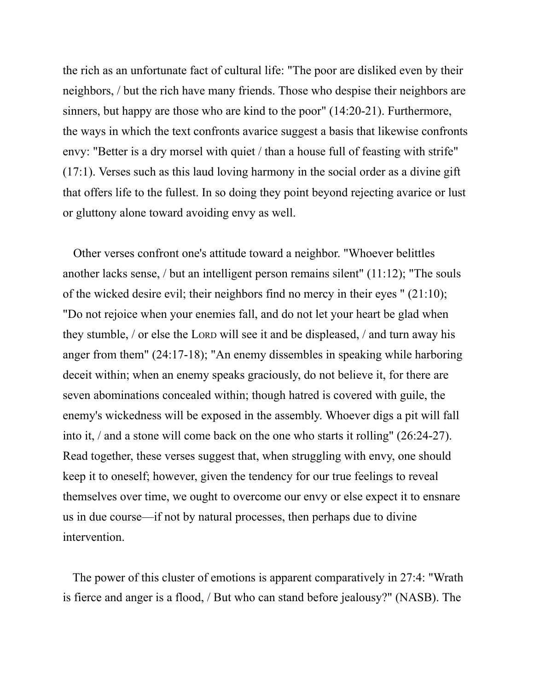the rich as an unfortunate fact of cultural life: "The poor are disliked even by their neighbors, / but the rich have many friends. Those who despise their neighbors are sinners, but happy are those who are kind to the poor" (14:20-21). Furthermore, the ways in which the text confronts avarice suggest a basis that likewise confronts envy: "Better is a dry morsel with quiet / than a house full of feasting with strife" (17:1). Verses such as this laud loving harmony in the social order as a divine gift that offers life to the fullest. In so doing they point beyond rejecting avarice or lust or gluttony alone toward avoiding envy as well.

Other verses confront one's attitude toward a neighbor. "Whoever belittles another lacks sense, / but an intelligent person remains silent" (11:12); "The souls of the wicked desire evil; their neighbors find no mercy in their eyes " (21:10); "Do not rejoice when your enemies fall, and do not let your heart be glad when they stumble, / or else the LORD will see it and be displeased, / and turn away his anger from them" (24:17-18); "An enemy dissembles in speaking while harboring deceit within; when an enemy speaks graciously, do not believe it, for there are seven abominations concealed within; though hatred is covered with guile, the enemy's wickedness will be exposed in the assembly. Whoever digs a pit will fall into it, / and a stone will come back on the one who starts it rolling" (26:24-27). Read together, these verses suggest that, when struggling with envy, one should keep it to oneself; however, given the tendency for our true feelings to reveal themselves over time, we ought to overcome our envy or else expect it to ensnare us in due course—if not by natural processes, then perhaps due to divine intervention.

The power of this cluster of emotions is apparent comparatively in 27:4: "Wrath is fierce and anger is a flood, / But who can stand before jealousy?" (NASB). The